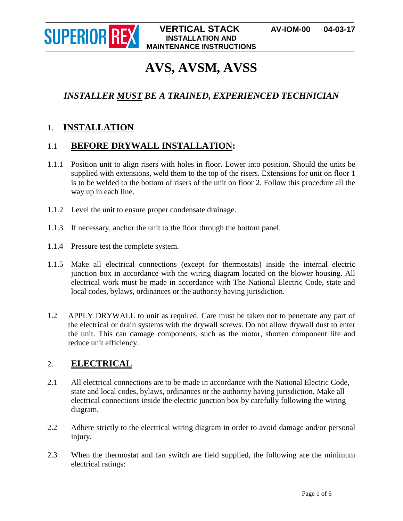

# **AVS, AVSM, AVSS**

## *INSTALLER MUST BE A TRAINED, EXPERIENCED TECHNICIAN*

## 1. **INSTALLATION**

## 1.1 **BEFORE DRYWALL INSTALLATION:**

- 1.1.1 Position unit to align risers with holes in floor. Lower into position. Should the units be supplied with extensions, weld them to the top of the risers. Extensions for unit on floor 1 is to be welded to the bottom of risers of the unit on floor 2. Follow this procedure all the way up in each line.
- 1.1.2 Level the unit to ensure proper condensate drainage.
- 1.1.3 If necessary, anchor the unit to the floor through the bottom panel.
- 1.1.4 Pressure test the complete system.
- 1.1.5 Make all electrical connections (except for thermostats) inside the internal electric junction box in accordance with the wiring diagram located on the blower housing. All electrical work must be made in accordance with The National Electric Code, state and local codes, bylaws, ordinances or the authority having jurisdiction.
- 1.2 APPLY DRYWALL to unit as required. Care must be taken not to penetrate any part of the electrical or drain systems with the drywall screws. Do not allow drywall dust to enter the unit. This can damage components, such as the motor, shorten component life and reduce unit efficiency.

## 2. **ELECTRICAL**

- 2.1 All electrical connections are to be made in accordance with the National Electric Code, state and local codes, bylaws, ordinances or the authority having jurisdiction. Make all electrical connections inside the electric junction box by carefully following the wiring diagram.
- 2.2 Adhere strictly to the electrical wiring diagram in order to avoid damage and/or personal injury.
- 2.3 When the thermostat and fan switch are field supplied, the following are the minimum electrical ratings: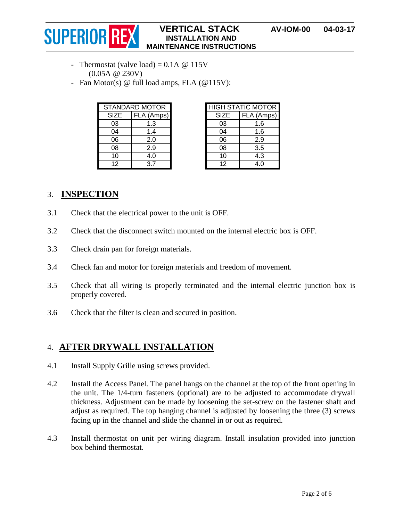#### **SUPERIOR REXISTANCE STACK** AV-IOM-00 04-03-17 **INSTALLATION AND MAINTENANCE INSTRUCTIONS**

- Thermostat (valve load) =  $0.1A \ @ 115V$ (0.05A @ 230V)
- Fan Motor(s) @ full load amps, FLA (@115V):

| <b>STANDARD MOTOR</b> |            |
|-----------------------|------------|
| <b>SIZE</b>           | FLA (Amps) |
| 03                    | 1.3        |
| 04                    | 14         |
| 06                    | 2.0        |
| 08                    | 2.9        |
| 10                    | 4.0        |
| 12                    | 37         |

| <b>HIGH STATIC MOTOR</b> |            |
|--------------------------|------------|
| <b>SIZE</b>              | FLA (Amps) |
| 03                       | 1.6        |
| 04                       | 1.6        |
| 06                       | 2.9        |
| 08                       | 3.5        |
| 10                       | 4.3        |
| 12                       | 4.0        |

## 3. **INSPECTION**

- 3.1 Check that the electrical power to the unit is OFF.
- 3.2 Check that the disconnect switch mounted on the internal electric box is OFF.
- 3.3 Check drain pan for foreign materials.
- 3.4 Check fan and motor for foreign materials and freedom of movement.
- 3.5 Check that all wiring is properly terminated and the internal electric junction box is properly covered.
- 3.6 Check that the filter is clean and secured in position.

## 4. **AFTER DRYWALL INSTALLATION**

- 4.1 Install Supply Grille using screws provided.
- 4.2 Install the Access Panel. The panel hangs on the channel at the top of the front opening in the unit. The 1/4-turn fasteners (optional) are to be adjusted to accommodate drywall thickness. Adjustment can be made by loosening the set-screw on the fastener shaft and adjust as required. The top hanging channel is adjusted by loosening the three (3) screws facing up in the channel and slide the channel in or out as required.
- 4.3 Install thermostat on unit per wiring diagram. Install insulation provided into junction box behind thermostat.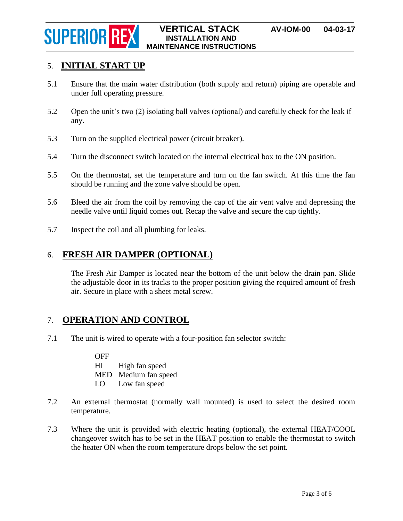

## 5. **INITIAL START UP**

- 5.1 Ensure that the main water distribution (both supply and return) piping are operable and under full operating pressure.
- 5.2 Open the unit's two (2) isolating ball valves (optional) and carefully check for the leak if any.
- 5.3 Turn on the supplied electrical power (circuit breaker).
- 5.4 Turn the disconnect switch located on the internal electrical box to the ON position.
- 5.5 On the thermostat, set the temperature and turn on the fan switch. At this time the fan should be running and the zone valve should be open.
- 5.6 Bleed the air from the coil by removing the cap of the air vent valve and depressing the needle valve until liquid comes out. Recap the valve and secure the cap tightly.
- 5.7 Inspect the coil and all plumbing for leaks.

## 6. **FRESH AIR DAMPER (OPTIONAL)**

The Fresh Air Damper is located near the bottom of the unit below the drain pan. Slide the adjustable door in its tracks to the proper position giving the required amount of fresh air. Secure in place with a sheet metal screw.

## 7. **OPERATION AND CONTROL**

7.1 The unit is wired to operate with a four-position fan selector switch:

**OFF** HI High fan speed MED Medium fan speed LO Low fan speed

- 7.2 An external thermostat (normally wall mounted) is used to select the desired room temperature.
- 7.3 Where the unit is provided with electric heating (optional), the external HEAT/COOL changeover switch has to be set in the HEAT position to enable the thermostat to switch the heater ON when the room temperature drops below the set point.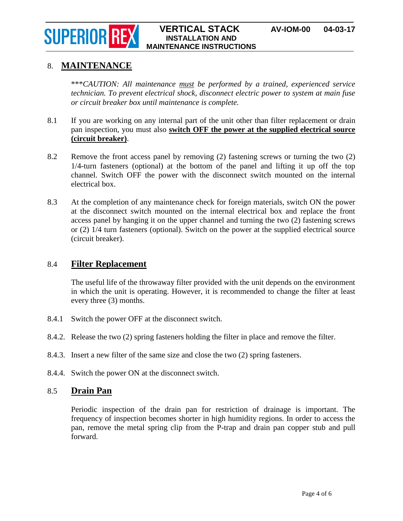#### **SUPERIOR REXISTANCE STACK** AV-IOM-00 04-03-17 **INSTALLATION AND MAINTENANCE INSTRUCTIONS**

## 8. **MAINTENANCE**

\*\*\**CAUTION: All maintenance must be performed by a trained, experienced service technician. To prevent electrical shock, disconnect electric power to system at main fuse or circuit breaker box until maintenance is complete.*

- 8.1 If you are working on any internal part of the unit other than filter replacement or drain pan inspection, you must also **switch OFF the power at the supplied electrical source (circuit breaker)**.
- 8.2 Remove the front access panel by removing (2) fastening screws or turning the two (2) 1/4-turn fasteners (optional) at the bottom of the panel and lifting it up off the top channel. Switch OFF the power with the disconnect switch mounted on the internal electrical box.
- 8.3 At the completion of any maintenance check for foreign materials, switch ON the power at the disconnect switch mounted on the internal electrical box and replace the front access panel by hanging it on the upper channel and turning the two (2) fastening screws or (2) 1/4 turn fasteners (optional). Switch on the power at the supplied electrical source (circuit breaker).

## 8.4 **Filter Replacement**

The useful life of the throwaway filter provided with the unit depends on the environment in which the unit is operating. However, it is recommended to change the filter at least every three (3) months.

- 8.4.1 Switch the power OFF at the disconnect switch.
- 8.4.2. Release the two (2) spring fasteners holding the filter in place and remove the filter.
- 8.4.3. Insert a new filter of the same size and close the two (2) spring fasteners.
- 8.4.4. Switch the power ON at the disconnect switch.

### 8.5 **Drain Pan**

Periodic inspection of the drain pan for restriction of drainage is important. The frequency of inspection becomes shorter in high humidity regions. In order to access the pan, remove the metal spring clip from the P-trap and drain pan copper stub and pull forward.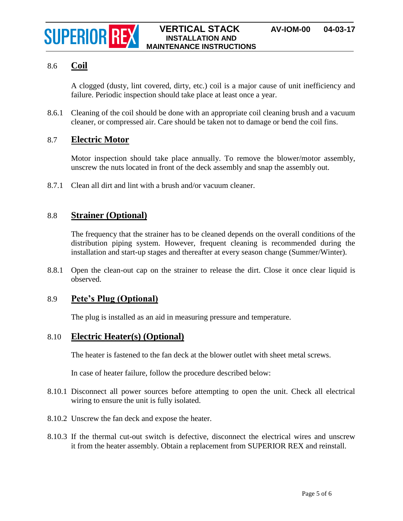## 8.6 **Coil**

A clogged (dusty, lint covered, dirty, etc.) coil is a major cause of unit inefficiency and failure. Periodic inspection should take place at least once a year.

8.6.1 Cleaning of the coil should be done with an appropriate coil cleaning brush and a vacuum cleaner, or compressed air. Care should be taken not to damage or bend the coil fins.

## 8.7 **Electric Motor**

Motor inspection should take place annually. To remove the blower/motor assembly, unscrew the nuts located in front of the deck assembly and snap the assembly out.

8.7.1 Clean all dirt and lint with a brush and/or vacuum cleaner.

## 8.8 **Strainer (Optional)**

The frequency that the strainer has to be cleaned depends on the overall conditions of the distribution piping system. However, frequent cleaning is recommended during the installation and start-up stages and thereafter at every season change (Summer/Winter).

8.8.1 Open the clean-out cap on the strainer to release the dirt. Close it once clear liquid is observed.

## 8.9 **Pete's Plug (Optional)**

The plug is installed as an aid in measuring pressure and temperature.

## 8.10 **Electric Heater(s) (Optional)**

The heater is fastened to the fan deck at the blower outlet with sheet metal screws.

In case of heater failure, follow the procedure described below:

- 8.10.1 Disconnect all power sources before attempting to open the unit. Check all electrical wiring to ensure the unit is fully isolated.
- 8.10.2 Unscrew the fan deck and expose the heater.
- 8.10.3 If the thermal cut-out switch is defective, disconnect the electrical wires and unscrew it from the heater assembly. Obtain a replacement from SUPERIOR REX and reinstall.